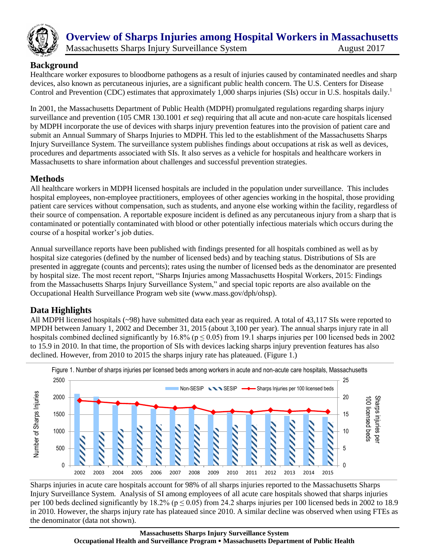

# **Overview of Sharps Injuries among Hospital Workers in Massachusetts**  Massachusetts Sharps Injury Surveillance System August 2017

#### **Background**

Healthcare worker exposures to bloodborne pathogens as a result of injuries caused by contaminated needles and sharp devices, also known as percutaneous injuries, are a significant public health concern. The U.S. Centers for Disease Control and Prevention (CDC) estimates that approximately 1,000 sharps injuries (SIs) occur in U.S. hospitals daily.<sup>1</sup>

In 2001, the Massachusetts Department of Public Health (MDPH) promulgated regulations regarding sharps injury surveillance and prevention (105 CMR 130.1001 *et seq*) requiring that all acute and non-acute care hospitals licensed by MDPH incorporate the use of devices with sharps injury prevention features into the provision of patient care and submit an Annual Summary of Sharps Injuries to MDPH. This led to the establishment of the Massachusetts Sharps Injury Surveillance System. The surveillance system publishes findings about occupations at risk as well as devices, procedures and departments associated with SIs. It also serves as a vehicle for hospitals and healthcare workers in Massachusetts to share information about challenges and successful prevention strategies.

# **Methods**

All healthcare workers in MDPH licensed hospitals are included in the population under surveillance. This includes hospital employees, non-employee practitioners, employees of other agencies working in the hospital, those providing patient care services without compensation, such as students, and anyone else working within the facility, regardless of their source of compensation. A reportable exposure incident is defined as any percutaneous injury from a sharp that is contaminated or potentially contaminated with blood or other potentially infectious materials which occurs during the course of a hospital worker's job duties.

Annual surveillance reports have been published with findings presented for all hospitals combined as well as by hospital size categories (defined by the number of licensed beds) and by teaching status. Distributions of SIs are presented in aggregate (counts and percents); rates using the number of licensed beds as the denominator are presented by hospital size. The most recent report, "Sharps Injuries among Massachusetts Hospital Workers, 2015: Findings from the Massachusetts Sharps Injury Surveillance System," and special topic reports are also available on the Occupational Health Surveillance Program web site (www.mass.gov/dph/ohsp).

# **Data Highlights**

All MDPH licensed hospitals (~98) have submitted data each year as required. A total of 43,117 SIs were reported to MPDH between January 1, 2002 and December 31, 2015 (about 3,100 per year). The annual sharps injury rate in all hospitals combined declined significantly by 16.8% ( $p \le 0.05$ ) from 19.1 sharps injuries per 100 licensed beds in 2002 to 15.9 in 2010. In that time, the proportion of SIs with devices lacking sharps injury prevention features has also declined. However, from 2010 to 2015 the sharps injury rate has plateaued. (Figure 1.)



Sharps injuries in acute care hospitals account for 98% of all sharps injuries reported to the Massachusetts Sharps Injury Surveillance System. Analysis of SI among employees of all acute care hospitals showed that sharps injuries per 100 beds declined significantly by 18.2% ( $p \le 0.05$ ) from 24.2 sharps injuries per 100 licensed beds in 2002 to 18.9 in 2010. However, the sharps injury rate has plateaued since 2010. A similar decline was observed when using FTEs as the denominator (data not shown).